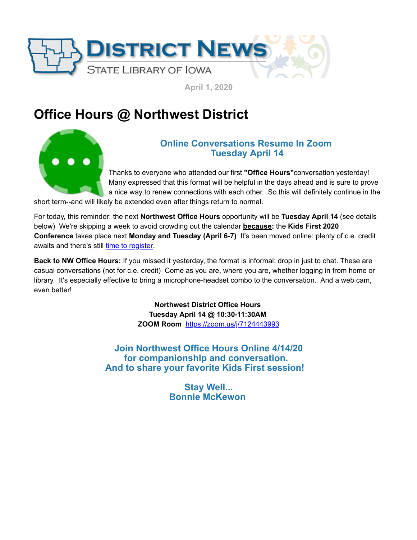

**April 1, 2020**

## **Office Hours @ Northwest District**



## **Online Conversations Resume In Zoom Tuesday April 14**

Thanks to everyone who attended our first **"Office Hours"**conversation yesterday! Many expressed that this format will be helpful in the days ahead and is sure to prove a nice way to renew connections with each other. So this will definitely continue in the

short term--and will likely be extended even after things return to normal.

For today, this reminder: the next **Northwest Office Hours** opportunity will be **Tuesday April 14** (see details below) We're skipping a week to avoid crowding out the calendar **because:** the **Kids First 2020 Conference** takes place next **Monday and Tuesday (April 6-7)** It's been moved online: plenty of c.e. credit awaits and there's still [time to register.](https://statelibraryofiowa.lmscheckout.com/Course/index?utm_medium=email&utm_source=govdelivery)

**Back to NW Office Hours:** If you missed it yesterday, the format is informal: drop in just to chat. These are casual conversations (not for c.e. credit) Come as you are, where you are, whether logging in from home or library. It's especially effective to bring a microphone-headset combo to the conversation. And a web cam, even better!

> **Northwest District Office Hours Tuesday April 14 @ 10:30-11:30AM ZOOM Room** [https://zoom.us/j/7124443993](https://zoom.us/j/7124443993?utm_medium=email&utm_source=govdelivery)

**Join Northwest Office Hours Online 4/14/20 for companionship and conversation. And to share your favorite Kids First session!** 

> **Stay Well... Bonnie McKewon**